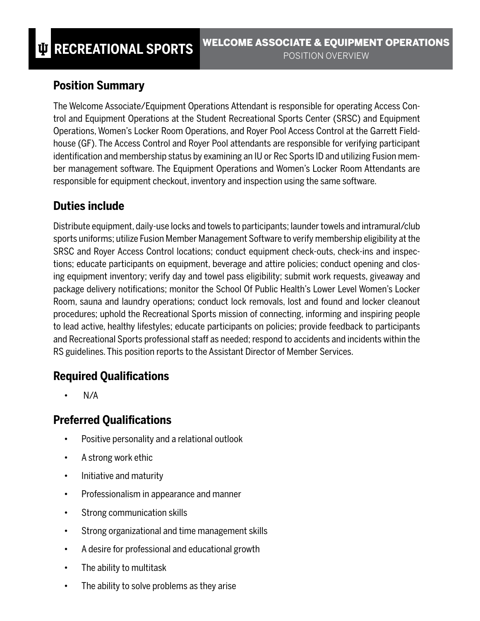### **Position Summary**

The Welcome Associate/Equipment Operations Attendant is responsible for operating Access Control and Equipment Operations at the Student Recreational Sports Center (SRSC) and Equipment Operations, Women's Locker Room Operations, and Royer Pool Access Control at the Garrett Fieldhouse (GF). The Access Control and Royer Pool attendants are responsible for verifying participant identification and membership status by examining an IU or Rec Sports ID and utilizing Fusion member management software. The Equipment Operations and Women's Locker Room Attendants are responsible for equipment checkout, inventory and inspection using the same software.

## **Duties include**

Distribute equipment, daily-use locks and towels to participants; launder towels and intramural/club sports uniforms; utilize Fusion Member Management Software to verify membership eligibility at the SRSC and Royer Access Control locations; conduct equipment check-outs, check-ins and inspections; educate participants on equipment, beverage and attire policies; conduct opening and closing equipment inventory; verify day and towel pass eligibility; submit work requests, giveaway and package delivery notifications; monitor the School Of Public Health's Lower Level Women's Locker Room, sauna and laundry operations; conduct lock removals, lost and found and locker cleanout procedures; uphold the Recreational Sports mission of connecting, informing and inspiring people to lead active, healthy lifestyles; educate participants on policies; provide feedback to participants and Recreational Sports professional staff as needed; respond to accidents and incidents within the RS guidelines. This position reports to the Assistant Director of Member Services.

# **Required Qualifications**

• N/A

# **Preferred Qualifications**

- Positive personality and a relational outlook
- A strong work ethic
- Initiative and maturity
- Professionalism in appearance and manner
- Strong communication skills
- Strong organizational and time management skills
- A desire for professional and educational growth
- The ability to multitask
- The ability to solve problems as they arise